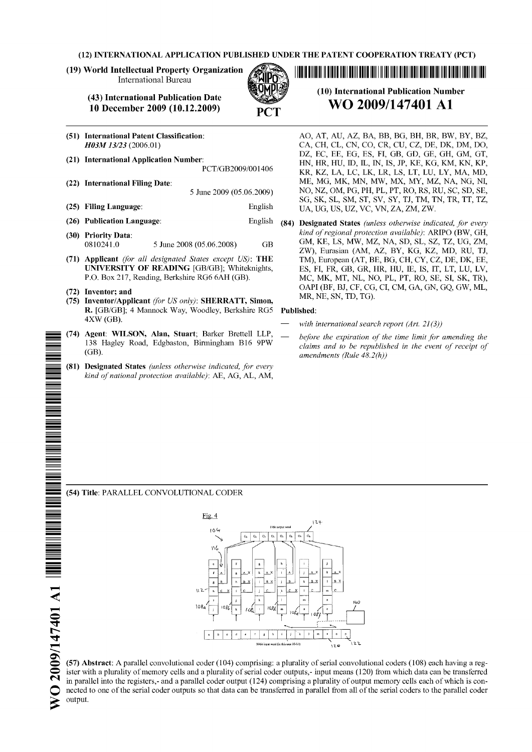**(12) INTERNATIONAL APPLICATION PUBLISHED UNDER THE PATENT COOPERATION TREATY (PCT)**

**(19) World Intellectual Property Organization** International Bureau

> **(43) International Publication Date** 10 December 2009 (10.12.2009)

**(51) International Patent Classification:** *H03M13/23* (2006.01) **(21) International Application Number: (22) International Filing Date: (25) Filing Language: (26) Publication Language:** PCT/GB2009/001406 5 June 2009 (05.06.2009) English English **(30) Priority Data:** 0810241.0 5 June 2008 (05.06.2008) GB **(71) Applicant** *(for all designated States except US):* **THE UNIVERSITY OF READING** [GB/GB]; Whiteknights, P.O. Box 217, Reading, Berkshire RG6 6AH (GB).

#### **(72) Inventor; and**

- **(75) Inventor/Applicant** *(for US only):* **SHERRATT, Simon, R.** [GB/GB]; 4 Mannock Way, Woodley, Berkshire RG5 4XW (GB).
- **(74) Agent: WILSON, Alan, Stuart;** Barker Brettell LLP, 138 Hagley Road, Edgbaston, Birmingham B16 9PW (GB).
- **(81) Designated States** *(unless otherwise indicated, for every kind ofnational protection available):* AE, AG, AL, AM,

**(10) International Publication Number WO 2009/147401 Al**

<u> 11 Mart 11 Mart 11 Mart 11 Mart 11 Mart 11 Mart 11 Mart 11 Mart 11 Mart 11 Mart 11 Mart 11 Mart 11 Mart 11 Ma</u>

- **AO, AT, AU, AZ, BA,** BB, BG, **BH,** BR, **BW, BY, BZ, CA, CH, CL, CN, CO, CR, CU, CZ, DE, DK, DM, DO, DZ, EC,** EE, EG, **ES, FI,** GB, **GD,** GE, **GH, GM, GT, HN, HR, HU, ID, IL, IN, IS, JP, KE, KG, KM, KN, KP, KR, KZ, LA, LC, LK, LR, LS, LT, LU, LY, MA, MD, ME, MG, MK, MN, MW, MX, MY, MZ, NA, NG, NI, NO, NZ, OM, PG, PH, PL, PT, RO, RS, RU, SC, SD, SE, SG, SK, SL, SM, ST, SV, SY, TJ, TM, TN, TR, TT, TZ, UA, UG, US, UZ, VC, VN, ZA, ZM, ZW.**
- **(84) Designated States** *(unless otherwise indicated, for every kind ofregional protection available):* ARIPO (BW, GH, GM, KE, LS, MW, MZ, NA, SD, SL, SZ, TZ, UG, ZM, ZW), Eurasian (AM, AZ, BY, KG, KZ, MD, RU, TJ, TM), European (AT, BE, BG, CH, CY, CZ, DE, DK, EE, ES, FI, FR, GB, GR, HR, HU, IE, IS, **IT,** LT, LU, LV, MC, MK, MT, NL, NO, PL, PT, RO, SE, SI, SK, TR), OAPI (BF, BJ, CF, CG, CI, CM, GA, GN, GQ, GW, ML, MR, NE, SN, TD, TG).

#### **Published:**

- *with international search report (Art. 21(3))*
- *before the expiration of the time limit for amending the claims and to be republished in the event of receipt of amendments (Rule 48.2(h))*

### **(54) Title:** PARALLEL CONVOLUTIONAL CODER



**(57) Abstract:** A parallel convolutional coder (104) comprising: a plurality of serial convolutional coders (108) each having a register with a plurality of memory cells and a plurality of serial coder outputs,- input means (120) from which data can be transferred in parallel into the registers,- and a parallel coder output (124) comprising a plurality of output memory cells each of which is connected to one ofthe serial coder outputs so that data can be transferred in parallel from all ofthe serial coders to the parallel coder output.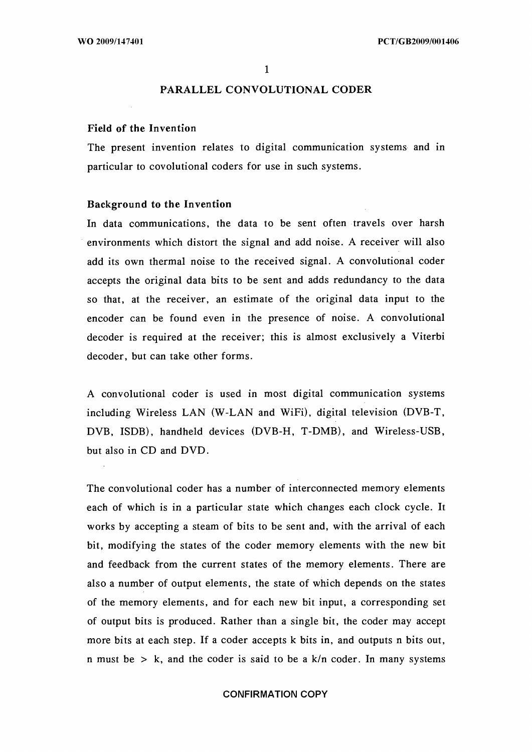# **PARALLEL CONVOLUTIONAL CODER**

#### **Field of the Invention**

The present invention relates to digital communication systems and in particular to covolutional coders for use in such systems.

#### **Background to the Invention**

In data communications, the data to be sent often travels over harsh environments which distort the signal and add noise. A receiver will also add its own thermal noise to the received signal. A convolutional coder accepts the original data bits to be sent and adds redundancy to the data so that, at the receiver, an estimate of the original data input to the encoder can be found even in the presence of noise. A convolutional decoder is required at the receiver; this is almost exclusively a Viterbi decoder, but can take other forms.

A convolutional coder is used in most digital communication systems including Wireless LAN (W-LAN and WiFi), digital television (DVB-T, DVB, ISDB), handheld devices (DVB-H, T-DMB), and Wireless-USB, but also in CD and DVD.

The convolutional coder has a number of interconnected memory elements each of which is in a particular state which changes each clock cycle. It works by accepting a steam of bits to be sent and, with the arrival of each bit, modifying the states of the coder memory elements with the new bit and feedback from the current states of the memory elements. There are also a number of output elements, the state of which depends on the states of the memory elements, and for each new bit input, a corresponding set of output bits is produced. Rather than a single bit, the coder may accept more bits at each step. If a coder accepts k bits in, and outputs n bits out, n must be  $> k$ , and the coder is said to be a  $k/n$  coder. In many systems

### CONFIRMATION COPY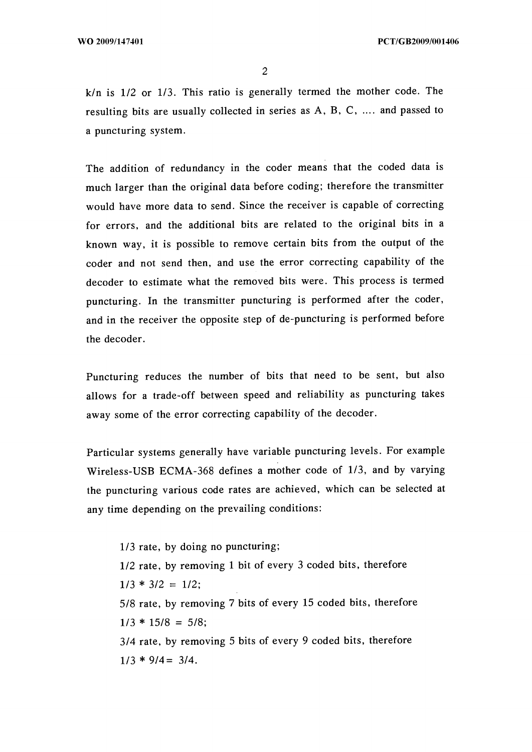k/n is 1/2 or 1/3. This ratio is generally termed the mother code. The resulting bits are usually collected in series as A, B, C, .... and passed to a puncturing system.

The addition of redundancy in the coder means that the coded data is much larger than the original data before coding; therefore the transmitter would have more data to send. Since the receiver is capable of correcting for errors, and the additional bits are related to the original bits in a known way, it is possible to remove certain bits from the output of the coder and not send then, and use the error correcting capability of the decoder to estimate what the removed bits were. This process is termed puncturing. In the transmitter puncturing is performed after the coder, and in the receiver the opposite step of de-puncturing is performed before the decoder.

Puncturing reduces the number of bits that need to be sent, but also allows for a trade-off between speed and reliability as puncturing takes away some of the error correcting capability of the decoder.

Particular systems generally have variable puncturing levels. For example Wireless-USB ECMA-368 defines a mother code of 1/3, and by varying the puncturing various code rates are achieved, which can be selected at any time depending on the prevailing conditions:

1/3 rate, by doing no puncturing; 1/2 rate, by removing <sup>1</sup> bit of every 3 coded bits, therefore  $1/3 * 3/2 = 1/2$ ; 5/8 rate, by removing 7 bits of every 15 coded bits, therefore  $1/3 * 15/8 = 5/8$ ; 3/4 rate, by removing 5 bits of every 9 coded bits, therefore  $1/3 * 9/4 = 3/4$ .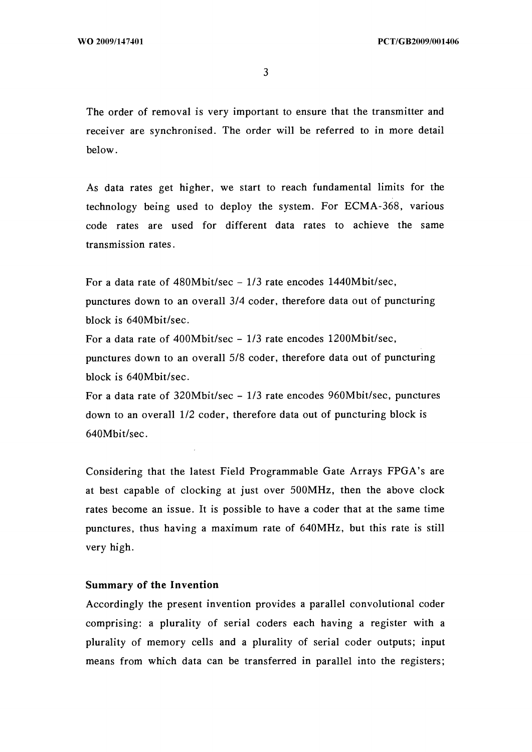$\overline{3}$ 

The order of removal is very important to ensure that the transmitter and receiver are synchronised. The order will be referred to in more detail below.

As data rates get higher, we start to reach fundamental limits for the technology being used to deploy the system. For ECMA-368, various code rates are used for different data rates to achieve the same transmission rates.

For a data rate of  $480Mbit/sec - 1/3$  rate encodes  $1440Mbit/sec$ , punctures down to an overall 3/4 coder, therefore data out of puncturing block is 640Mbit/sec.

For <sup>a</sup> data rate of 400Mbit/sec - 1/3 rate encodes 1200Mbit/sec, punctures down to an overall 5/8 coder, therefore data out of puncturing block is 640Mbit/sec.

For <sup>a</sup> data rate of 320Mbit/sec - 1/3 rate encodes 960Mbit/sec, punctures down to an overall 1/2 coder, therefore data out of puncturing block is 640Mbit/sec.

Considering that the latest Field Programmable Gate Arrays FPGA's are at best capable of clocking at just over 500MHz, then the above clock rates become an issue. It is possible to have a coder that at the same time punctures, thus having a maximum rate of 640MHz, but this rate is still very high.

## **Summary of the Invention**

Accordingly the present invention provides a parallel convolutional coder comprising: a plurality of serial coders each having a register with a plurality of memory cells and a plurality of serial coder outputs; input means from which data can be transferred in parallel into the registers;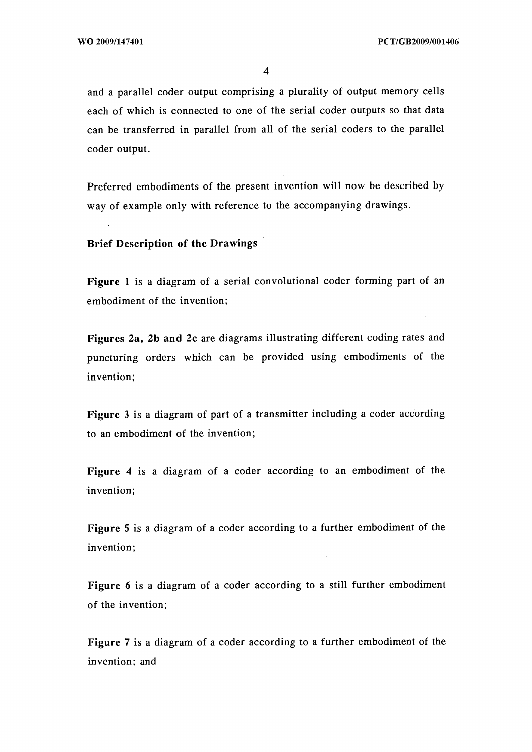and a parallel coder output comprising a plurality of output memory cells each of which is connected to one of the serial coder outputs so that data can be transferred in parallel from all of the serial coders to the parallel coder output.

Preferred embodiments of the present invention will now be described by way of example only with reference to the accompanying drawings.

**Brief Description of the Drawings**

**Figure <sup>1</sup>** is a diagram of a serial convolutional coder forming part of an embodiment of the invention;

**Figures** 2a, 2b **and** 2c are diagrams illustrating different coding rates and puncturing orders which can be provided using embodiments of the invention;

**Figure** <sup>3</sup> is a diagram of part of a transmitter including a coder according to an embodiment of the invention;

**Figure 4** is a diagram of a coder according to an embodiment of the invention;

**Figure** 5 is a diagram of a coder according to a further embodiment of the invention;

**Figure 6** is a diagram of a coder according to a still further embodiment of the invention;

**Figure** 7 is a diagram of a coder according to a further embodiment of the invention; and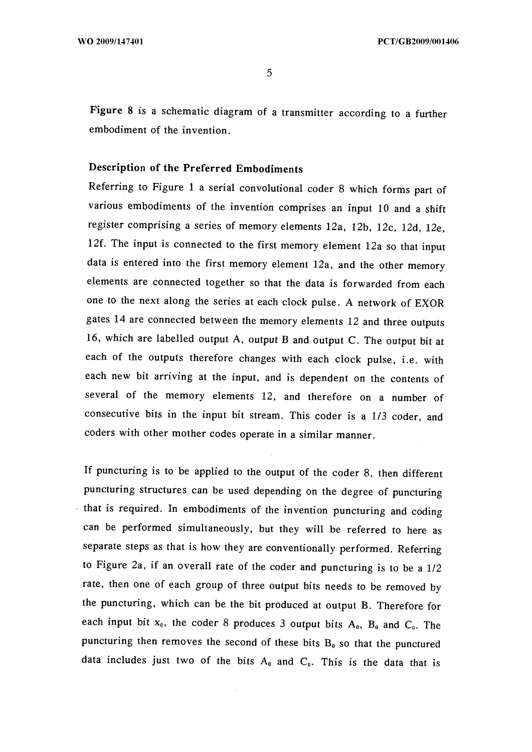**Figure** 8 is a schematic diagram of a transmitter according to a further embodiment of the invention.

# **Description of the Preferred Embodiments**

Referring to Figure <sup>1</sup> a serial convolutional coder 8 which forms part of various embodiments of the invention comprises an input 10 and a shift register comprising a series of memory elements 12a, 12b, 12c, 12d, 12e, 12f. The input is connected to the first memory element 12a so that input data is entered into the first memory element 12a, and the other memory elements are connected together so that the data is forwarded from each one to the next along the series at each clock pulse. A network of EXOR gates 14 are connected between the memory elements 12 and three outputs 16, which are labelled output A, output B and output C. The output bit at each of the outputs therefore changes with each clock pulse, i.e. with each new bit arriving at the input, and is dependent on the contents of several of the memory elements 12, and therefore on a number of consecutive bits in the input bit stream. This coder is a 1/3 coder, and coders with other mother codes operate in a similar manner.

If puncturing is to be applied to the output of the coder 8, then different puncturing structures can be used depending on the degree of puncturing that is required. In embodiments of the invention puncturing and coding can be performed simultaneously, but they will be referred to here as separate steps as that is how they are conventionally performed. Referring to Figure 2a, if an overall rate of the coder and puncturing is to be a 1/2 rate, then one of each group of three output bits needs to be removed by the puncturing, which can be the bit produced at output B. Therefore for each input bit  $x_0$ , the coder 8 produces 3 output bits  $A_0$ ,  $B_0$  and  $C_0$ . The puncturing then removes the second of these bits  $B_0$  so that the punctured data includes just two of the bits  $A_0$  and  $C_0$ . This is the data that is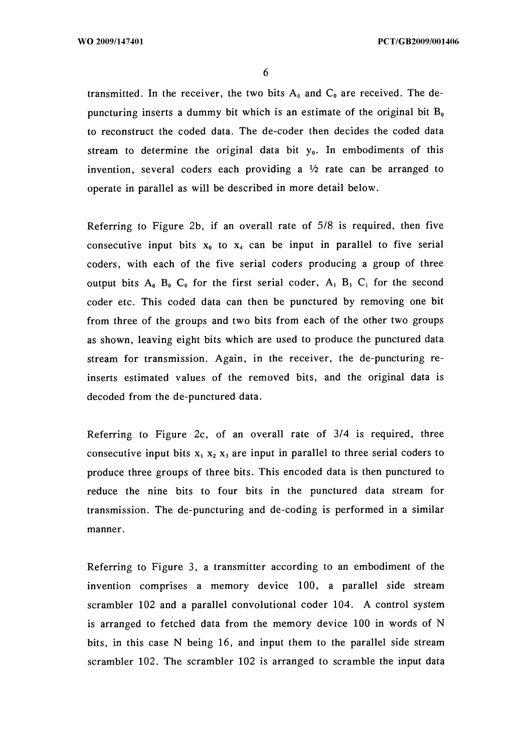transmitted. In the receiver, the two bits  $A_0$  and  $C_0$  are received. The depuncturing inserts a dummy bit which is an estimate of the original bit  $B_0$ to reconstruct the coded data. The de-coder then decides the coded data stream to determine the original data bit  $y_0$ . In embodiments of this invention, several coders each providing a  $\frac{1}{2}$  rate can be arranged to operate in parallel as will be described in more detail below.

Referring to Figure 2b, if an overall rate of 5/8 is required, then five consecutive input bits  $x_0$  to  $x_4$  can be input in parallel to five serial coders, with each of the five serial coders producing a group of three output bits  $A_0$ ,  $B_0$ ,  $C_0$  for the first serial coder,  $A_1$ ,  $B_1$ ,  $C_1$  for the second coder etc. This coded data can then be punctured by removing one bit from three of the groups and two bits from each of the other two groups as shown, leaving eight bits which are used to produce the punctured data stream for transmission. Again, in the receiver, the de-puncturing reinserts estimated values of the removed bits, and the original data is decoded from the de-punctured data.

Referring to Figure 2c, of an overall rate of 3/4 is required, three consecutive input bits  $x_1$ ,  $x_2$ ,  $x_3$  are input in parallel to three serial coders to produce three groups of three bits. This encoded data is then punctured to reduce the nine bits to four bits in the punctured data stream for transmission. The de-puncturing and de-coding is performed in a similar manner.

Referring to Figure 3, a transmitter according to an embodiment of the invention comprises a memory device 100, a parallel side stream scrambler 102 and a parallel convolutional coder 104. A control system is arranged to fetched data from the memory device 100 in words of N bits, in this case N being 16, and input them to the parallel side stream scrambler 102. The scrambler 102 is arranged to scramble the input data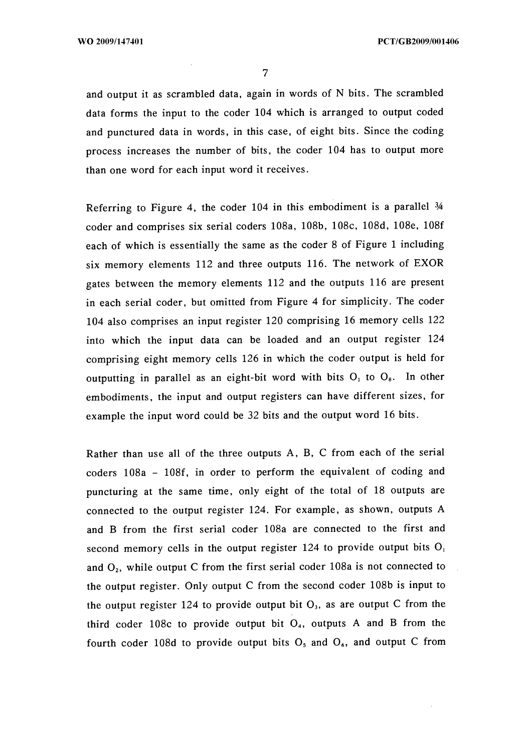and output it as scrambled data, again in words of N bits. The scrambled data forms the input to the coder 104 which is arranged to output coded and punctured data in words, in this case, of eight bits. Since the coding process increases the number of bits, the coder 104 has to output more than one word for each input word it receives.

Referring to Figure 4, the coder 104 in this embodiment is a parallel *M* coder and comprises six serial coders 108a, 108b, 108c, 108d, 108e, 108f each of which is essentially the same as the coder 8 of Figure <sup>1</sup> including six memory elements 112 and three outputs 116. The network of EXOR gates between the memory elements 112 and the outputs 116 are present in each serial coder, but omitted from Figure 4 for simplicity. The coder 104 also comprises an input register 120 comprising 16 memory cells 122 into which the input data can be loaded and an output register 124 comprising eight memory cells 126 in which the coder output is held for outputting in parallel as an eight-bit word with bits  $O_1$  to  $O_8$ . In other embodiments, the input and output registers can have different sizes, for example the input word could be 32 bits and the output word 16 bits.

Rather than use all of the three outputs A, B, C from each of the serial coders 108a - 108f, in order to perform the equivalent of coding and puncturing at the same time, only eight of the total of 18 outputs are connected to the output register 124. For example, as shown, outputs A and B from the first serial coder 108a are connected to the first and second memory cells in the output register 124 to provide output bits  $O_i$ and  $O<sub>2</sub>$ , while output C from the first serial coder 108a is not connected to the output register. Only output C from the second coder 108b is input to the output register 124 to provide output bit  $O<sub>3</sub>$ , as are output C from the third coder 108c to provide output bit  $O<sub>4</sub>$ , outputs A and B from the fourth coder 108d to provide output bits  $O_5$  and  $O_6$ , and output C from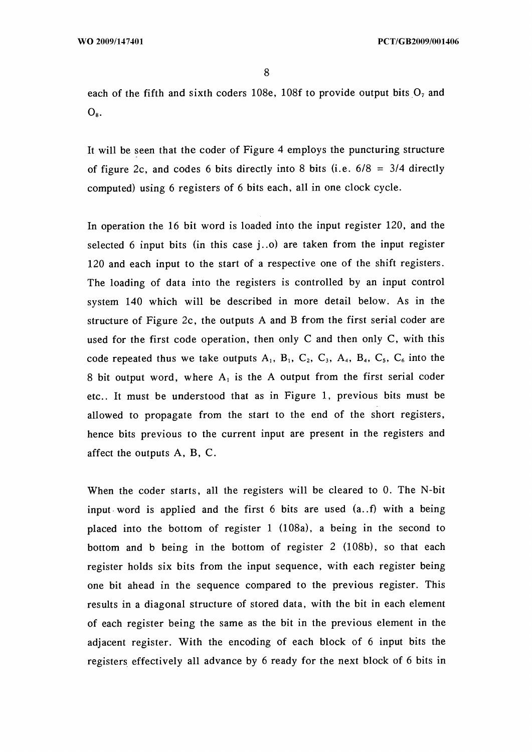each of the fifth and sixth coders 108e, 108f to provide output bits  $O<sub>7</sub>$  and  $O_8$ .

It will be seen that the coder of Figure 4 employs the puncturing structure of figure 2c, and codes 6 bits directly into 8 bits (i.e.  $6/8 = 3/4$  directly computed) using 6 registers of 6 bits each, all in one clock cycle.

In operation the 16 bit word is loaded into the input register 120, and the selected 6 input bits (in this case j..o) are taken from the input register 120 and each input to the start of a respective one of the shift registers. The loading of data into the registers is controlled by an input control system 140 which will be described in more detail below. As in the structure of Figure 2c, the outputs A and B from the first serial coder are used for the first code operation, then only C and then only C, with this code repeated thus we take outputs  $A_1$ ,  $B_1$ ,  $C_2$ ,  $C_3$ ,  $A_4$ ,  $B_4$ ,  $C_5$ ,  $C_6$  into the 8 bit output word, where A, is the A output from the first serial coder etc.. It must be understood that as in Figure 1, previous bits must be allowed to propagate from the start to the end of the short registers, hence bits previous to the current input are present in the registers and affect the outputs A, B, C.

When the coder starts, all the registers will be cleared to 0. The N-bit input word is applied and the first 6 bits are used (a..f) with a being placed into the bottom of register <sup>1</sup> (108a), a being in the second to bottom and b being in the bottom of register 2 (108b), so that each register holds six bits from the input sequence, with each register being one bit ahead in the sequence compared to the previous register. This results in a diagonal structure of stored data, with the bit in each element of each register being the same as the bit in the previous element in the adjacent register. With the encoding of each block of 6 input bits the registers effectively all advance by 6 ready for the next block of 6 bits in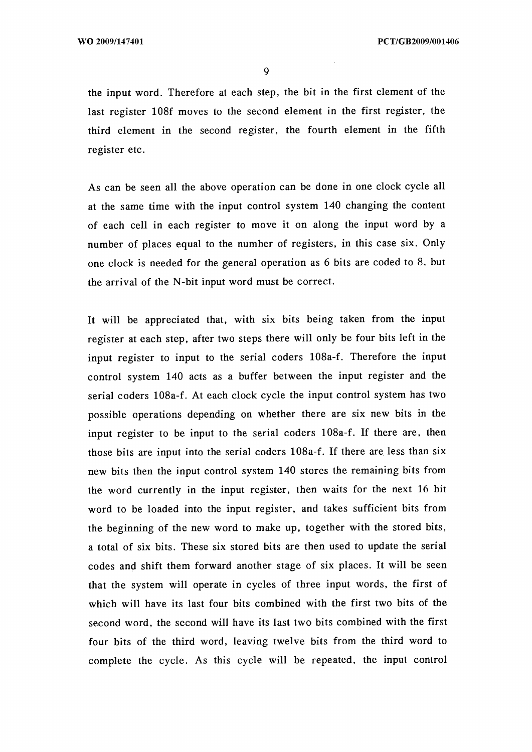the input word. Therefore at each step, the bit in the first element of the last register 108f moves to the second element in the first register, the third element in the second register, the fourth element in the fifth register etc.

As can be seen all the above operation can be done in one clock cycle all at the same time with the input control system 140 changing the content of each cell in each register to move it on along the input word by a number of places equal to the number of registers, in this case six. Only one clock is needed for the general operation as 6 bits are coded to 8, but the arrival of the N-bit input word must be correct.

It will be appreciated that, with six bits being taken from the input register at each step, after two steps there will only be four bits left in the input register to input to the serial coders 108a-f. Therefore the input control system 140 acts as a buffer between the input register and the serial coders 108a-f. At each clock cycle the input control system has two possible operations depending on whether there are six new bits in the input register to be input to the serial coders 108a-f. If there are, then those bits are input into the serial coders 108a-f. If there are less than six new bits then the input control system 140 stores the remaining bits from the word currently in the input register, then waits for the next 16 bit word to be loaded into the input register, and takes sufficient bits from the beginning of the new word to make up, together with the stored bits, a total of six bits. These six stored bits are then used to update the serial codes and shift them forward another stage of six places. It will be seen that the system will operate in cycles of three input words, the first of which will have its last four bits combined with the first two bits of the second word, the second will have its last two bits combined with the first four bits of the third word, leaving twelve bits from the third word to complete the cycle. As this cycle will be repeated, the input control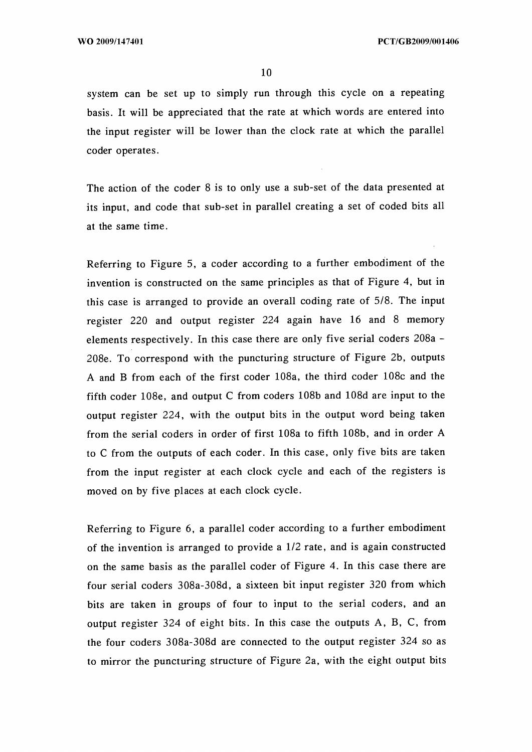system can be set up to simply run through this cycle on a repeating basis. It will be appreciated that the rate at which words are entered into the input register will be lower than the clock rate at which the parallel coder operates.

The action of the coder 8 is to only use a sub-set of the data presented at its input, and code that sub-set in parallel creating a set of coded bits all at the same time.

Referring to Figure 5, a coder according to a further embodiment of the invention is constructed on the same principles as that of Figure 4, but in this case is arranged to provide an overall coding rate of 5/8. The input register 220 and output register 224 again have 16 and 8 memory elements respectively. In this case there are only five serial coders 208a - 208e. To correspond with the puncturing structure of Figure 2b, outputs A and B from each of the first coder 108a, the third coder 108c and the fifth coder 108e, and output C from coders 108b and 108d are input to the output register 224, with the output bits in the output word being taken from the serial coders in order of first 108a to fifth 108b, and in order A to C from the outputs of each coder. In this case, only five bits are taken from the input register at each clock cycle and each of the registers is moved on by five places at each clock cycle.

Referring to Figure 6, a parallel coder according to a further embodiment of the invention is arranged to provide a 1/2 rate, and is again constructed on the same basis as the parallel coder of Figure 4. In this case there are four serial coders 308a-308d, a sixteen bit input register 320 from which bits are taken in groups of four to input to the serial coders, and an output register 324 of eight bits. In this case the outputs A, B, C, from the four coders 308a-308d are connected to the output register 324 so as to mirror the puncturing structure of Figure 2a, with the eight output bits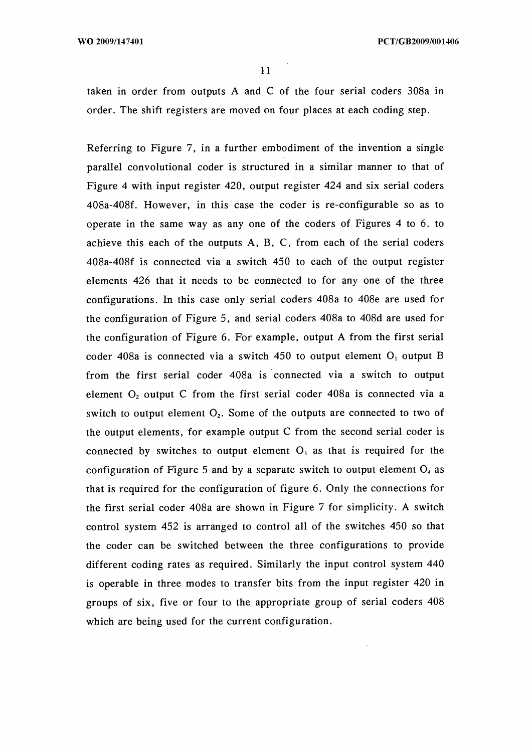WO 2009/147401 **PCT/GB2009/001406** 

taken in order from outputs A and C of the four serial coders 308a in order. The shift registers are moved on four places at each coding step.

Referring to Figure 7, in a further embodiment of the invention a single parallel convolutional coder is structured in a similar manner to that of Figure 4 with input register 420, output register 424 and six serial coders 408a-408f. However, in this case the coder is re-configurable so as to operate in the same way as any one of the coders of Figures 4 to 6. to achieve this each of the outputs A, B, C, from each of the serial coders 408a-408f is connected via a switch 450 to each of the output register elements 426 that it needs to be connected to for any one of the three configurations. In this case only serial coders 408a to 408e are used for the configuration of Figure 5, and serial coders 408a to 408d are used for the configuration of Figure 6. For example, output A from the first serial coder 408a is connected via a switch 450 to output element  $O<sub>1</sub>$  output B from the first serial coder 408a is connected via a switch to output element  $O_2$  output C from the first serial coder 408a is connected via a switch to output element  $O_2$ . Some of the outputs are connected to two of the output elements, for example output C from the second serial coder is connected by switches to output element  $O<sub>3</sub>$  as that is required for the configuration of Figure 5 and by a separate switch to output element  $O<sub>4</sub>$  as that is required for the configuration of figure 6. Only the connections for the first serial coder 408a are shown in Figure 7 for simplicity. A switch control system 452 is arranged to control all of the switches 450 so that the coder can be switched between the three configurations to provide different coding rates as required. Similarly the input control system 440 is operable in three modes to transfer bits from the input register 420 in groups of six, five or four to the appropriate group of serial coders 408 which are being used for the current configuration.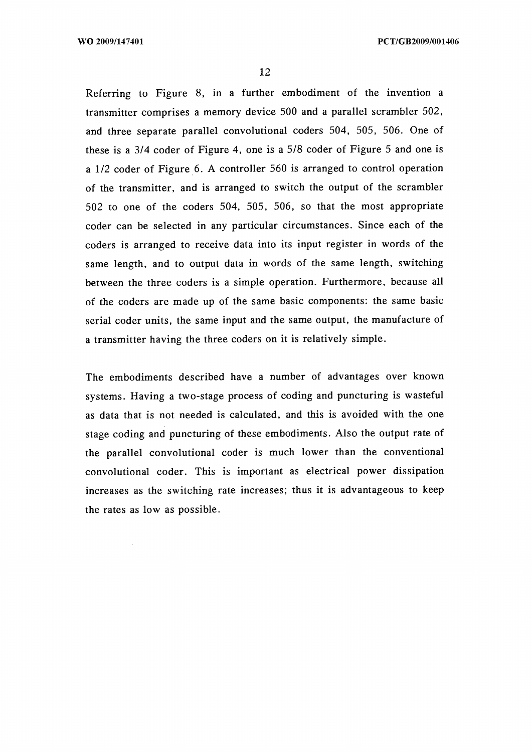Referring to Figure 8, in a further embodiment of the invention a transmitter comprises a memory device 500 and a parallel scrambler 502, and three separate parallel convolutional coders 504, 505, 506. One of these is a 3/4 coder of Figure 4, one is a 5/8 coder of Figure 5 and one is a 1/2 coder of Figure 6. A controller 560 is arranged to control operation of the transmitter, and is arranged to switch the output of the scrambler 502 to one of the coders 504, 505, 506, so that the most appropriate coder can be selected in any particular circumstances. Since each of the coders is arranged to receive data into its input register in words of the same length, and to output data in words of the same length, switching between the three coders is a simple operation. Furthermore, because all of the coders are made up of the same basic components: the same basic serial coder units, the same input and the same output, the manufacture of a transmitter having the three coders on it is relatively simple.

The embodiments described have a number of advantages over known systems. Having a two-stage process of coding and puncturing is wasteful as data that is not needed is calculated, and this is avoided with the one stage coding and puncturing of these embodiments. Also the output rate of the parallel convolutional coder is much lower than the conventional convolutional coder. This is important as electrical power dissipation increases as the switching rate increases; thus it is advantageous to keep the rates as low as possible.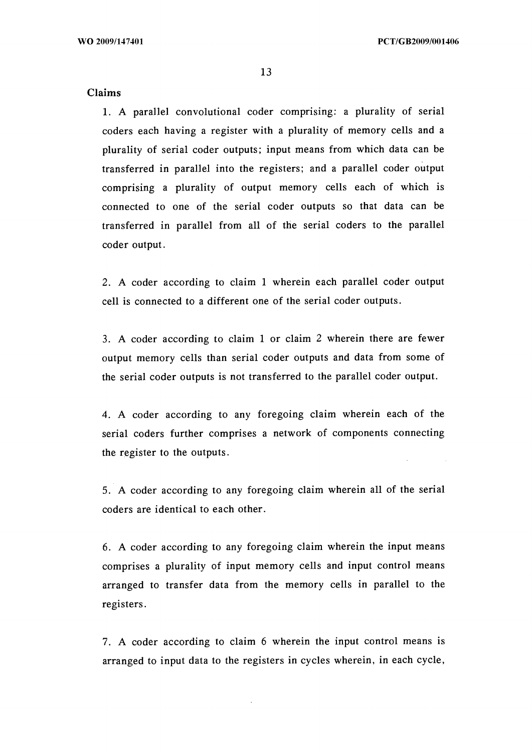## Claims

1. A parallel convolutional coder comprising: a plurality of serial coders each having a register with a plurality of memory cells and a plurality of serial coder outputs; input means from which data can be transferred in parallel into the registers; and a parallel coder output comprising a plurality of output memory cells each of which is connected to one of the serial coder outputs so that data can be transferred in parallel from all of the serial coders to the parallel coder output.

2. A coder according to claim <sup>1</sup> wherein each parallel coder output cell is connected to a different one of the serial coder outputs.

3. A coder according to claim <sup>1</sup> or claim 2 wherein there are fewer output memory cells than serial coder outputs and data from some of the serial coder outputs is not transferred to the parallel coder output.

4. A coder according to any foregoing claim wherein each of the serial coders further comprises a network of components connecting the register to the outputs.

5. A coder according to any foregoing claim wherein all of the serial coders are identical to each other.

6. A coder according to any foregoing claim wherein the input means comprises a plurality of input memory cells and input control means arranged to transfer data from the memory cells in parallel to the registers.

7. A coder according to claim 6 wherein the input control means is arranged to input data to the registers in cycles wherein, in each cycle,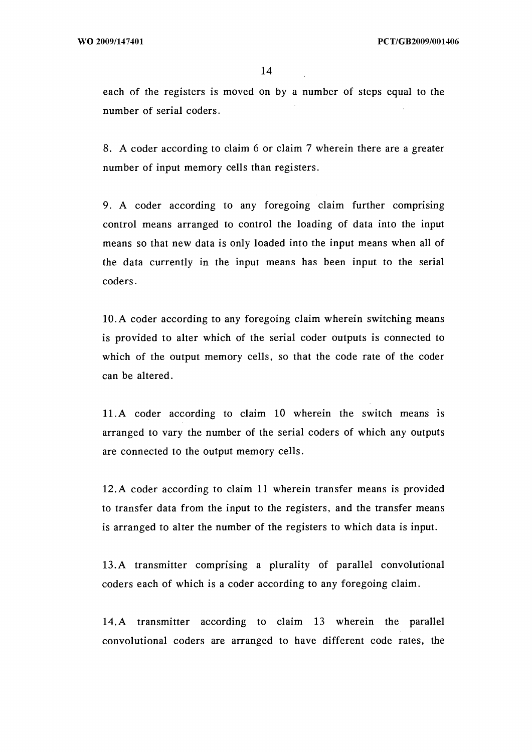each of the registers is moved on by a number of steps equal to the number of serial coders.

8. A coder according to claim 6 or claim 7 wherein there are a greater number of input memory cells than registers.

9. A coder according to any foregoing claim further comprising control means arranged to control the loading of data into the input means so that new data is only loaded into the input means when all of the data currently in the input means has been input to the serial coders.

10. A coder according to any foregoing claim wherein switching means is provided to alter which of the serial coder outputs is connected to which of the output memory cells, so that the code rate of the coder can be altered.

11. A coder according to claim 10 wherein the switch means is arranged to vary the number of the serial coders of which any outputs are connected to the output memory cells.

12.A coder according to claim 11 wherein transfer means is provided to transfer data from the input to the registers, and the transfer means is arranged to alter the number of the registers to which data is input.

13.A transmitter comprising a plurality of parallel convolutional coders each of which is a coder according to any foregoing claim.

14. A transmitter according to claim 13 wherein the parallel convolutional coders are arranged to have different code rates, the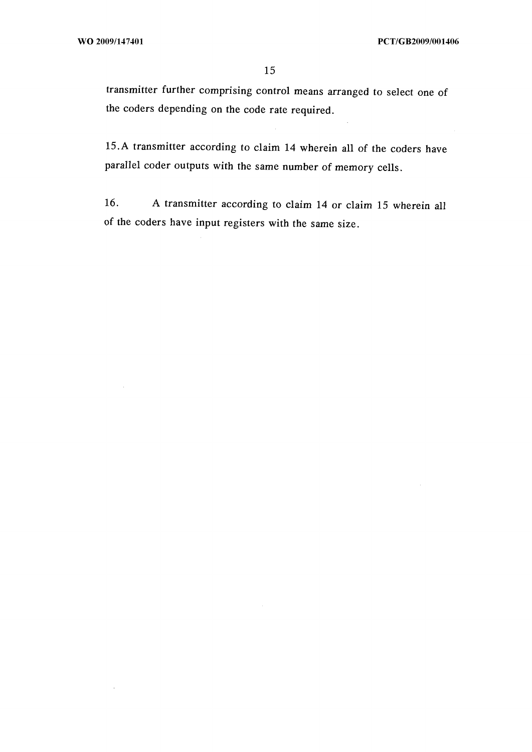transmitter further comprising control means arranged to select one of the coders depending on the code rate required.

15.A transmitter according to claim 14 wherein all of the coders have parallel coder outputs with the same number of memory cells.

16. A transmitter according to claim 14 or claim 15 wherein all of the coders have input registers with the same size.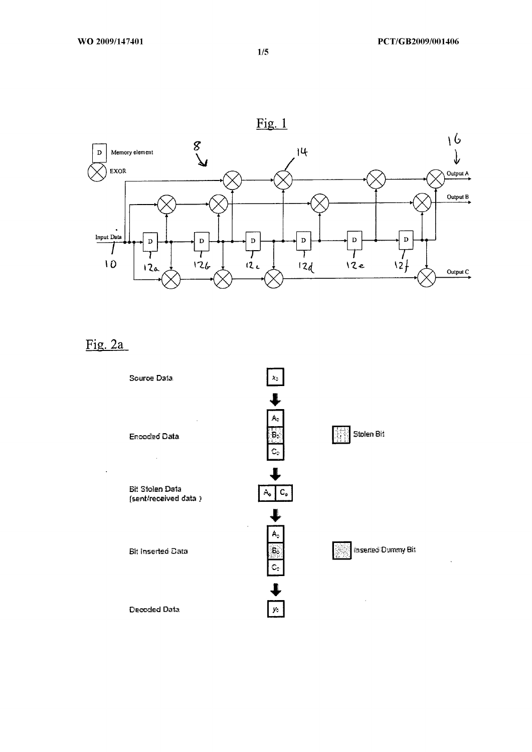

# Fig. 2a



1/5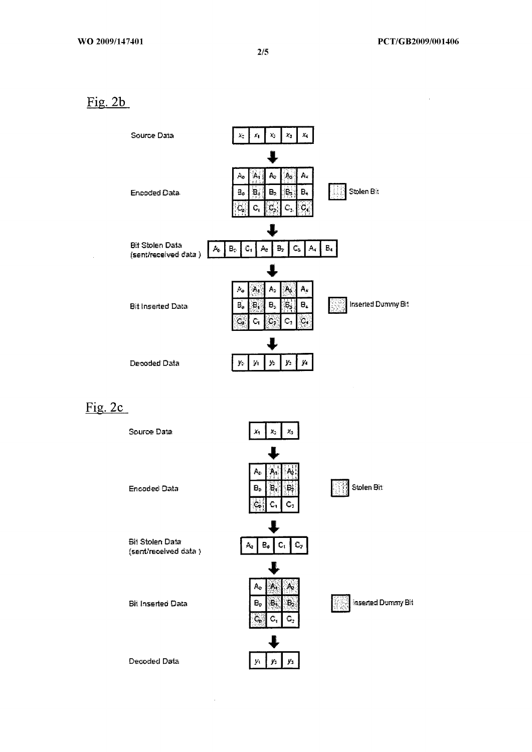Fig. 2b



Fig. 2c

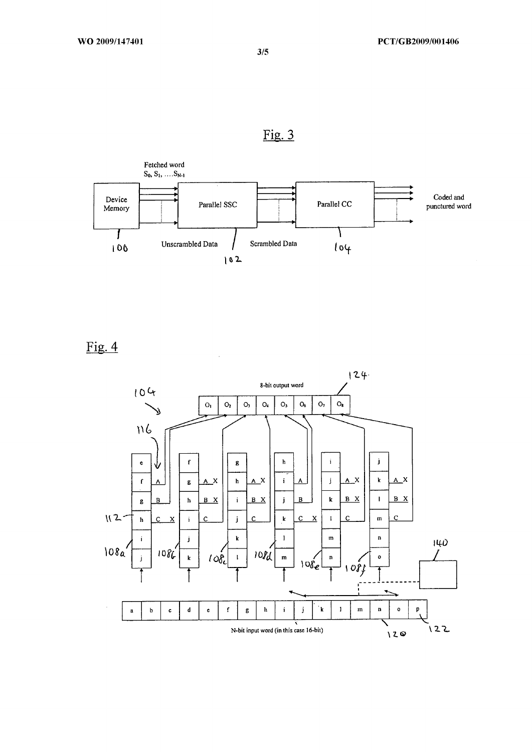



Fig. 4



3/5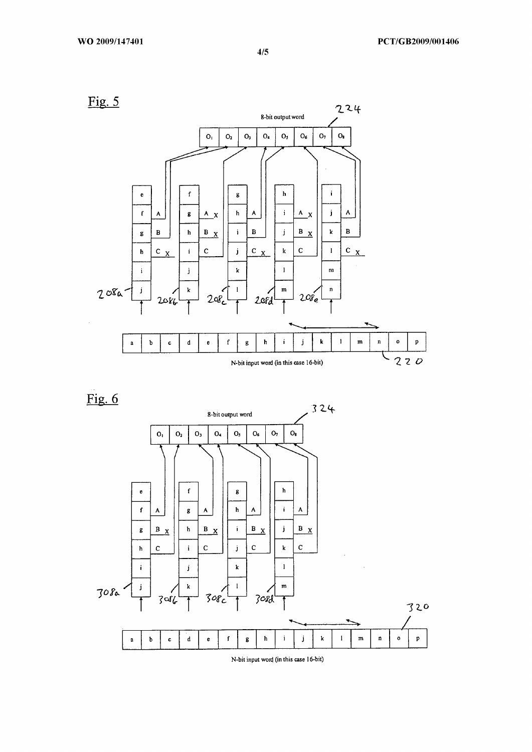

Fig. 6



**N-bit input woid (in this case 16-bit)**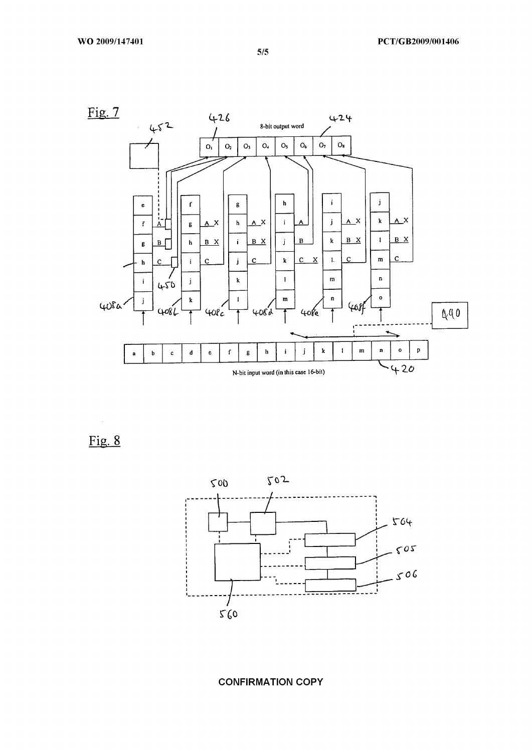

Fig. 8



CONFIRMATION COPY

5/5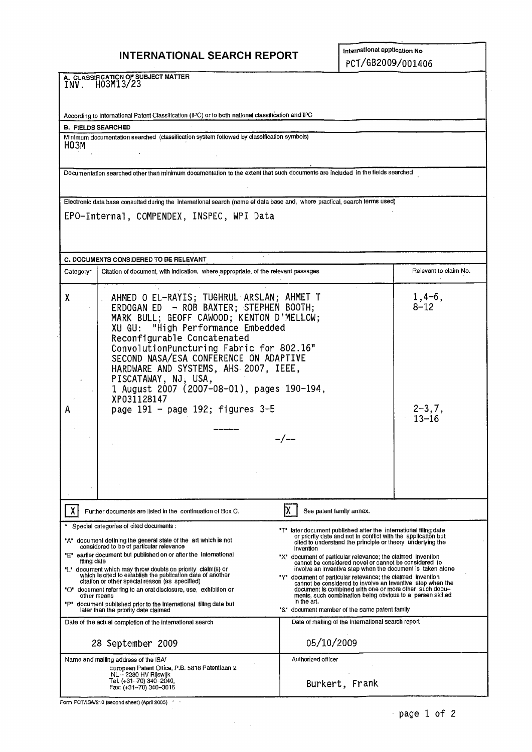# **INTERNATIONAL SEARCH REPORT International application No**

**A. CLASSIFICATION OF SUBJECT MATTER** INV. H03M13723

According to International Patent Classification (IPC) or to both national classification and IPC

**B. FIELDS SEARCHED**

Minimum documentation searched (classification system followed by classification symbols) H03M

Documentation searched other than minimum documentation to the extent that such documents are included in the fields searched

Electronic data base consulted during the international search (name of data base and, where practical, search terms used)

EPO-Internal, COMPENDEX, INSPEC, WPI Data

| C. DOCUMENTS CONSIDERED TO BE RELEVANT                     |                                                                                                                                                                                                                                                                                                                                                                                                                                                                                                                                                                                               |                                                                                                                                                                                                                                                                                                                                                                                                                                                                                                                                                                                                                                                                                                                           |                       |  |  |  |  |
|------------------------------------------------------------|-----------------------------------------------------------------------------------------------------------------------------------------------------------------------------------------------------------------------------------------------------------------------------------------------------------------------------------------------------------------------------------------------------------------------------------------------------------------------------------------------------------------------------------------------------------------------------------------------|---------------------------------------------------------------------------------------------------------------------------------------------------------------------------------------------------------------------------------------------------------------------------------------------------------------------------------------------------------------------------------------------------------------------------------------------------------------------------------------------------------------------------------------------------------------------------------------------------------------------------------------------------------------------------------------------------------------------------|-----------------------|--|--|--|--|
| Category*                                                  | Citation of document, with indication, where appropriate, of the relevant passages                                                                                                                                                                                                                                                                                                                                                                                                                                                                                                            |                                                                                                                                                                                                                                                                                                                                                                                                                                                                                                                                                                                                                                                                                                                           | Relevant to claim No. |  |  |  |  |
| χ                                                          | AHMED O EL-RAYIS; TUGHRUL ARSLAN; AHMET T<br>ERDOGAN ED - ROB BAXTER; STEPHEN BOOTH;<br>MARK BULL; GEOFF CAWOOD; KENTON D'MELLOW;<br>"High Performance Embedded<br>XU GU:<br>Reconfigurable Concatenated<br>ConvolutionPuncturing Fabric for 802.16"<br>SECOND NASA/ESA CONFERENCE ON ADAPTIVE<br>HARDWARE AND SYSTEMS, AHS 2007, IEEE,<br>PISCATAWAY, NJ, USA,<br>1 August 2007 (2007-08-01), pages 190-194,<br>XP031128147                                                                                                                                                                  |                                                                                                                                                                                                                                                                                                                                                                                                                                                                                                                                                                                                                                                                                                                           | $1,4-6,$<br>$8 - 12$  |  |  |  |  |
|                                                            | page $191 - page 192$ ; figures $3-5$                                                                                                                                                                                                                                                                                                                                                                                                                                                                                                                                                         | $2 - 3, 7,$                                                                                                                                                                                                                                                                                                                                                                                                                                                                                                                                                                                                                                                                                                               |                       |  |  |  |  |
|                                                            |                                                                                                                                                                                                                                                                                                                                                                                                                                                                                                                                                                                               |                                                                                                                                                                                                                                                                                                                                                                                                                                                                                                                                                                                                                                                                                                                           | 13–16                 |  |  |  |  |
|                                                            |                                                                                                                                                                                                                                                                                                                                                                                                                                                                                                                                                                                               |                                                                                                                                                                                                                                                                                                                                                                                                                                                                                                                                                                                                                                                                                                                           |                       |  |  |  |  |
|                                                            |                                                                                                                                                                                                                                                                                                                                                                                                                                                                                                                                                                                               |                                                                                                                                                                                                                                                                                                                                                                                                                                                                                                                                                                                                                                                                                                                           |                       |  |  |  |  |
| Further documents are listed in the continuation of Box C. |                                                                                                                                                                                                                                                                                                                                                                                                                                                                                                                                                                                               |                                                                                                                                                                                                                                                                                                                                                                                                                                                                                                                                                                                                                                                                                                                           |                       |  |  |  |  |
| fiting date<br>other means                                 | Special categories of cited documents :<br>"A" document defining the general state of the art which is not<br>considered to be of particular relevance<br>"E" earlier document but published on or after the International<br>"L" document which may throw doubts on priority claim(s) or<br>which is oited to establish the publication date of another<br>citation or other special reason (as specified)<br>"O" document referring to an orat disclosure, use, exhibition or<br>"P" document published prior to the international filting date but<br>later than the priority date claimed | "T" later document published after the international filing date<br>or priority date and not in conflict with the application but<br>cited to understand the principle or theory underlying the<br>Invention<br>"X" document of particular relevance; the claimed invention<br>cannot be considered novel or cannot be considered to<br>involve an inventive step when the document is taken alone<br>'Υ'<br>document of particular retevance; the claimed invention<br>cannot be considered to involve an Inventive step when the<br>document is combined with one or more other such docu-<br>ments, such combination being obvious to a persen skilled<br>In the art.<br>'&' document member of the same patent family |                       |  |  |  |  |
|                                                            | Date of the actual completion of the international search                                                                                                                                                                                                                                                                                                                                                                                                                                                                                                                                     | Date of malling of the International search report                                                                                                                                                                                                                                                                                                                                                                                                                                                                                                                                                                                                                                                                        |                       |  |  |  |  |
|                                                            | 28 September 2009                                                                                                                                                                                                                                                                                                                                                                                                                                                                                                                                                                             | 05/10/2009                                                                                                                                                                                                                                                                                                                                                                                                                                                                                                                                                                                                                                                                                                                |                       |  |  |  |  |
|                                                            | Name and mailing address of the ISA<br>European Patent Office, P.B. 5818 Patentiaan 2<br>NL - 2280 HV Rijswijk<br>Tel. (+31-70) 340-2040,<br>Fax: (+31-70) 340-3016                                                                                                                                                                                                                                                                                                                                                                                                                           | Authorized officer<br>Burkert, Frank                                                                                                                                                                                                                                                                                                                                                                                                                                                                                                                                                                                                                                                                                      |                       |  |  |  |  |

 $\sigma_{\rm{max}}$ 

Form PCT/1SA/210 (second sheet) (April 2005)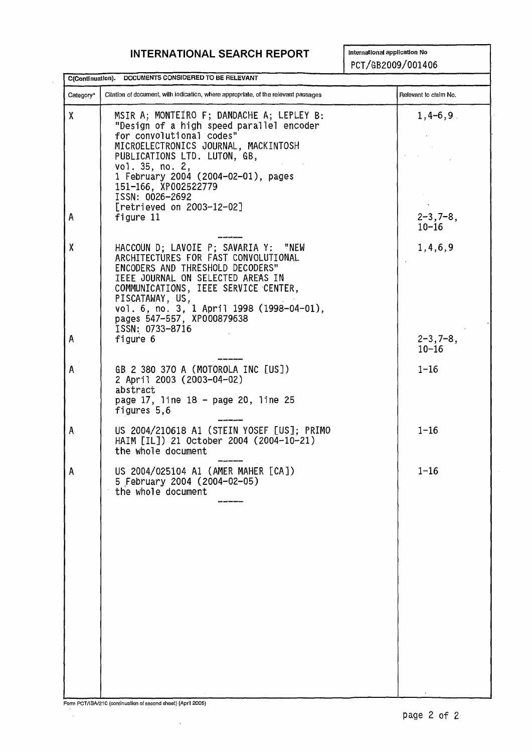# **INTERNATIONAL SEARCH REPORT** International application No

 $\mathcal{L}$ 

PCT/GB2009/001406

|           | C(Continuation). DOCUMENTS CONSIDERED TO BE RELEVANT                                                                                                                                                                                                                                                                        |                              |
|-----------|-----------------------------------------------------------------------------------------------------------------------------------------------------------------------------------------------------------------------------------------------------------------------------------------------------------------------------|------------------------------|
| Category* | Citation of document, with indication, where appropriate, of the relevant passages                                                                                                                                                                                                                                          | Relevant to claim No.        |
| X         | MSIR A; MONTEIRO F; DANDACHE A; LEPLEY B:<br>"Design of a high speed parallel encoder<br>for convolutional codes"<br>MICROELECTRONICS JOURNAL, MACKINTOSH<br>PUBLICATIONS LTD. LUTON, GB,<br>vol. 35, no. 2,<br>1 February 2004 (2004-02-01), pages<br>151-166, XP002522779<br>ISSN: 0026-2692<br>[retrieved on 2003-12-02] | $1,4-6,9$                    |
| А         | figure 11                                                                                                                                                                                                                                                                                                                   | $2 - 3, 7 - 8,$<br>$10 - 16$ |
| X         | HACCOUN D; LAVOIE P; SAVARIA Y: "NEW<br>ARCHITECTURES FOR FAST CONVOLUTIONAL<br>ENCODERS AND THRESHOLD DECODERS"<br>IEEE JOURNAL ON SELECTED AREAS IN<br>COMMUNICATIONS, IEEE SERVICE CENTER,<br>PISCATAWAY, US,<br>vol. 6, no. 3, 1 April 1998 (1998-04-01),<br>pages 547-557, XP000879638<br>ISSN: 0733-8716              | 1,4,6,9                      |
| A         | figure 6                                                                                                                                                                                                                                                                                                                    | $2 - 3, 7 - 8,$<br>$10 - 16$ |
| A         | GB 2 380 370 A (MOTOROLA INC [US])<br>2 April 2003 (2003-04-02)<br>abstract<br>page 17, line 18 - page 20, line 25<br>figures 5,6                                                                                                                                                                                           | $1 - 16$                     |
| A         | US 2004/210618 A1 (STEIN YOSEF [US]; PRIMO<br>HAIM [IL]) 21 October 2004 (2004-10-21)<br>the whole document                                                                                                                                                                                                                 | $1 - 16$                     |
| Α         | US 2004/025104 A1 (AMER MAHER [CA])<br>5 February 2004 (2004-02-05)<br>the whole document                                                                                                                                                                                                                                   | $1 - 16$                     |

Form POT/ISA/210 (continuation of sacond sheet) (April £005)

 $\mathcal{A}^{\mathcal{A}}$ 

 $\bar{\beta}$ 

÷,